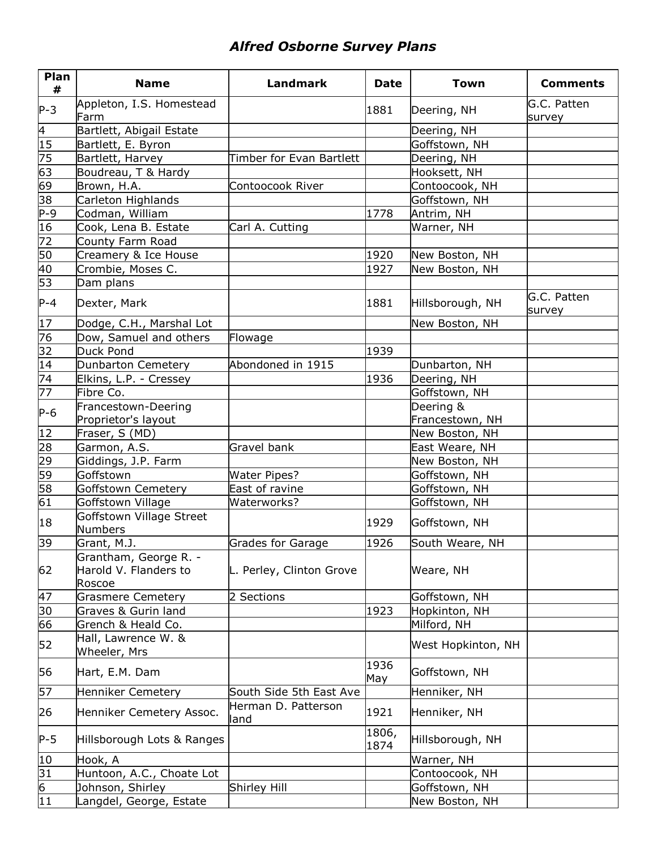## *Alfred Osborne Survey Plans*

| Plan<br>#       | <b>Name</b>                                              | <b>Landmark</b>             | <b>Date</b>   | <b>Town</b>        | <b>Comments</b>       |
|-----------------|----------------------------------------------------------|-----------------------------|---------------|--------------------|-----------------------|
| $P-3$           | Appleton, I.S. Homestead<br>Farm                         |                             | 1881          | Deering, NH        | G.C. Patten<br>survey |
| $\overline{4}$  | Bartlett, Abigail Estate                                 |                             |               | Deering, NH        |                       |
| 15              | Bartlett, E. Byron                                       |                             |               | Goffstown, NH      |                       |
| 75              | Bartlett, Harvey                                         | Timber for Evan Bartlett    |               | Deering, NH        |                       |
| 63              | Boudreau, T & Hardy                                      |                             |               | Hooksett, NH       |                       |
| 69              | Brown, H.A.                                              | Contoocook River            |               | Contoocook, NH     |                       |
| $\overline{38}$ | Carleton Highlands                                       |                             |               | Goffstown, NH      |                       |
| $P-9$           | Codman, William                                          |                             | 1778          | Antrim, NH         |                       |
| 16              | Cook, Lena B. Estate                                     | Carl A. Cutting             |               | Warner, NH         |                       |
| 72              | County Farm Road                                         |                             |               |                    |                       |
| 50              | Creamery & Ice House                                     |                             | 1920          | New Boston, NH     |                       |
| 40              | Crombie, Moses C.                                        |                             | 1927          | New Boston, NH     |                       |
| 53              | Dam plans                                                |                             |               |                    |                       |
| $P-4$           | Dexter, Mark                                             |                             | 1881          | Hillsborough, NH   | G.C. Patten<br>survey |
| 17              | Dodge, C.H., Marshal Lot                                 |                             |               | New Boston, NH     |                       |
| 76              | Dow, Samuel and others                                   | Flowage                     |               |                    |                       |
| $\overline{32}$ | Duck Pond                                                |                             | 1939          |                    |                       |
| 14              | Dunbarton Cemetery                                       | Abondoned in 1915           |               | Dunbarton, NH      |                       |
| 74              | Elkins, L.P. - Cressey                                   |                             | 1936          | Deering, NH        |                       |
| $\overline{77}$ | Fibre Co.                                                |                             |               | Goffstown, NH      |                       |
|                 | Francestown-Deering                                      |                             |               | Deering &          |                       |
| $P-6$           | Proprietor's layout                                      |                             |               | Francestown, NH    |                       |
| $ 12\rangle$    | Fraser, S (MD)                                           |                             |               | New Boston, NH     |                       |
| 28              | Garmon, A.S.                                             | Gravel bank                 |               | East Weare, NH     |                       |
| 29              | Giddings, J.P. Farm                                      |                             |               | New Boston, NH     |                       |
| 59              | Goffstown                                                | <b>Water Pipes?</b>         |               | Goffstown, NH      |                       |
| 58              | Goffstown Cemetery                                       | East of ravine              |               | Goffstown, NH      |                       |
| 61              | Goffstown Village                                        | Waterworks?                 |               | Goffstown, NH      |                       |
| 18              | Goffstown Village Street<br>Numbers                      |                             | 1929          | Goffstown, NH      |                       |
| 39              | Grant, M.J.                                              | <b>Grades for Garage</b>    | 1926          | South Weare, NH    |                       |
| 62              | Grantham, George R. -<br>Harold V. Flanders to<br>Roscoe | L. Perley, Clinton Grove    |               | Weare, NH          |                       |
| 47              | <b>Grasmere Cemetery</b>                                 | 2 Sections                  |               | Goffstown, NH      |                       |
| 30              | Graves & Gurin land                                      |                             | 1923          | Hopkinton, NH      |                       |
| 66              | Grench & Heald Co.                                       |                             |               | Milford, NH        |                       |
| 52              | Hall, Lawrence W. &<br>Wheeler, Mrs                      |                             |               | West Hopkinton, NH |                       |
| 56              | Hart, E.M. Dam                                           |                             | 1936<br>May   | Goffstown, NH      |                       |
| 57              | Henniker Cemetery                                        | South Side 5th East Ave     |               | Henniker, NH       |                       |
| 26              | Henniker Cemetery Assoc.                                 | Herman D. Patterson<br>land | 1921          | Henniker, NH       |                       |
| $P-5$           | Hillsborough Lots & Ranges                               |                             | 1806,<br>1874 | Hillsborough, NH   |                       |
| 10              | Hook, A                                                  |                             |               | Warner, NH         |                       |
| 31              | Huntoon, A.C., Choate Lot                                |                             |               | Contoocook, NH     |                       |
| $\overline{6}$  | Johnson, Shirley                                         | Shirley Hill                |               | Goffstown, NH      |                       |
| 11              | Langdel, George, Estate                                  |                             |               | New Boston, NH     |                       |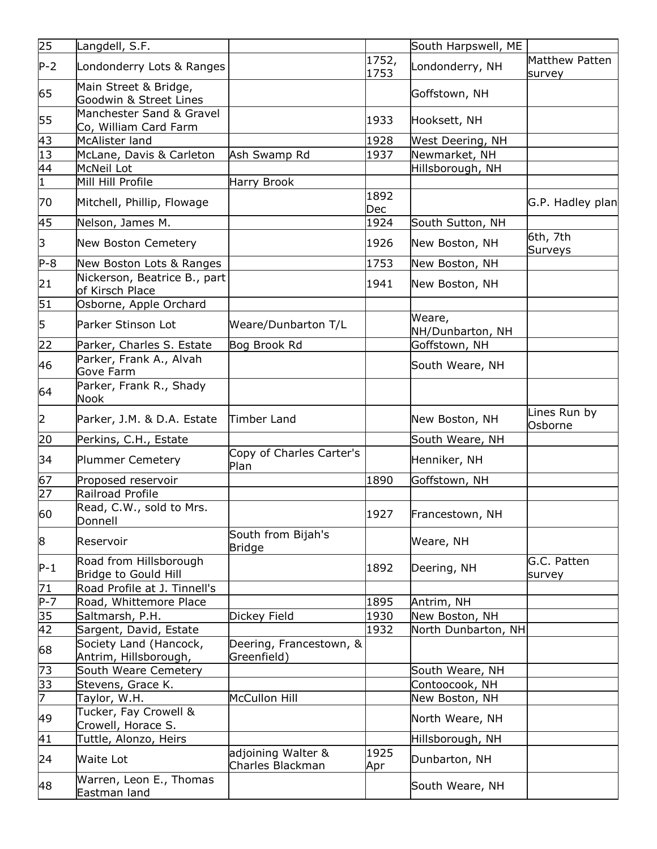| 25              | Langdell, S.F.                                    |                                        |               | South Harpswell, ME        |                          |
|-----------------|---------------------------------------------------|----------------------------------------|---------------|----------------------------|--------------------------|
| $P-2$           | Londonderry Lots & Ranges                         |                                        | 1752,<br>1753 | Londonderry, NH            | Matthew Patten<br>survey |
| 65              | Main Street & Bridge,<br>Goodwin & Street Lines   |                                        |               | Goffstown, NH              |                          |
| 55              | Manchester Sand & Gravel<br>Co, William Card Farm |                                        | 1933          | Hooksett, NH               |                          |
| 43              | McAlister land                                    |                                        | 1928          | West Deering, NH           |                          |
| $\overline{13}$ | McLane, Davis & Carleton                          | Ash Swamp Rd                           | 1937          | Newmarket, NH              |                          |
|                 | McNeil Lot                                        |                                        |               | Hillsborough, NH           |                          |
| $\frac{44}{1}$  | Mill Hill Profile                                 | Harry Brook                            |               |                            |                          |
| 70              | Mitchell, Phillip, Flowage                        |                                        | 1892<br>Dec   |                            | G.P. Hadley plan         |
| 45              | Nelson, James M.                                  |                                        | 1924          | South Sutton, NH           |                          |
| 3               | New Boston Cemetery                               |                                        | 1926          | New Boston, NH             | 6th, 7th<br>Surveys      |
| $P-8$           | New Boston Lots & Ranges                          |                                        | 1753          | New Boston, NH             |                          |
| 21              | Nickerson, Beatrice B., part<br>of Kirsch Place   |                                        | 1941          | New Boston, NH             |                          |
| 51              | Osborne, Apple Orchard                            |                                        |               |                            |                          |
| 5               | Parker Stinson Lot                                | Weare/Dunbarton T/L                    |               | Weare,<br>NH/Dunbarton, NH |                          |
| 22              | Parker, Charles S. Estate                         | Bog Brook Rd                           |               | Goffstown, NH              |                          |
| 46              | Parker, Frank A., Alvah<br>Gove Farm              |                                        |               | South Weare, NH            |                          |
| 64              | Parker, Frank R., Shady<br>Nook                   |                                        |               |                            |                          |
| $\vert$ 2       | Parker, J.M. & D.A. Estate                        | Timber Land                            |               | New Boston, NH             | Lines Run by<br>Osborne  |
| 20              | Perkins, C.H., Estate                             |                                        |               | South Weare, NH            |                          |
| 34              | Plummer Cemetery                                  | Copy of Charles Carter's<br>Plan       |               | Henniker, NH               |                          |
| 67              | Proposed reservoir                                |                                        | 1890          | Goffstown, NH              |                          |
| 27              | Railroad Profile                                  |                                        |               |                            |                          |
| 60              | Read, C.W., sold to Mrs.<br>Donnell               |                                        | 1927          | Francestown, NH            |                          |
| 8               | Reservoir                                         | South from Bijah's<br><b>Bridge</b>    |               | Weare, NH                  |                          |
| $P-1$           | Road from Hillsborough<br>Bridge to Gould Hill    |                                        | 1892          | Deering, NH                | G.C. Patten<br>survey    |
| 71              | Road Profile at J. Tinnell's                      |                                        |               |                            |                          |
| $P - 7$         | Road, Whittemore Place                            |                                        | 1895          | Antrim, NH                 |                          |
| 35              | Saltmarsh, P.H.                                   | Dickey Field                           | 1930          | New Boston, NH             |                          |
| $\overline{42}$ | Sargent, David, Estate                            |                                        | 1932          | North Dunbarton, NH        |                          |
| 68              | Society Land (Hancock,<br>Antrim, Hillsborough,   | Deering, Francestown, &<br>Greenfield) |               |                            |                          |
| 73              | South Weare Cemetery                              |                                        |               | South Weare, NH            |                          |
| 33              | Stevens, Grace K.                                 |                                        |               | Contoocook, NH             |                          |
| 7               | Taylor, W.H.                                      | <b>McCullon Hill</b>                   |               | New Boston, NH             |                          |
| 49              | Tucker, Fay Crowell &<br>Crowell, Horace S.       |                                        |               | North Weare, NH            |                          |
| 41              | Tuttle, Alonzo, Heirs                             |                                        |               | Hillsborough, NH           |                          |
| 24              | <b>Waite Lot</b>                                  | adjoining Walter &<br>Charles Blackman | 1925<br>Apr   | Dunbarton, NH              |                          |
| 48              | Warren, Leon E., Thomas<br>Eastman land           |                                        |               | South Weare, NH            |                          |